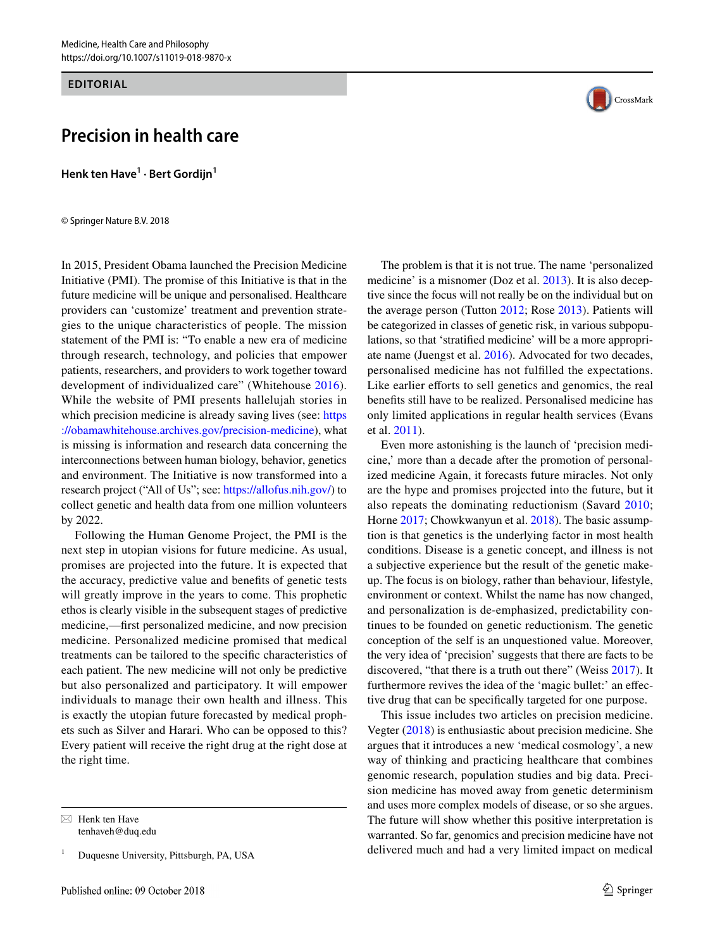**EDITORIAL**

## **Precision in health care**

**Henk ten Have<sup>1</sup> · Bert Gordijn1**

© Springer Nature B.V. 2018

In 2015, President Obama launched the Precision Medicine Initiative (PMI). The promise of this Initiative is that in the future medicine will be unique and personalised. Healthcare providers can 'customize' treatment and prevention strategies to the unique characteristics of people. The mission statement of the PMI is: "To enable a new era of medicine through research, technology, and policies that empower patients, researchers, and providers to work together toward development of individualized care" (Whitehouse [2016](#page-1-0)). While the website of PMI presents hallelujah stories in which precision medicine is already saving lives (see: [https](https://obamawhitehouse.archives.gov/precision-medicine) [://obamawhitehouse.archives.gov/precision-medicine\)](https://obamawhitehouse.archives.gov/precision-medicine), what is missing is information and research data concerning the interconnections between human biology, behavior, genetics and environment. The Initiative is now transformed into a research project ("All of Us"; see: [https://allofus.nih.gov/\)](https://allofus.nih.gov/) to collect genetic and health data from one million volunteers by 2022.

Following the Human Genome Project, the PMI is the next step in utopian visions for future medicine. As usual, promises are projected into the future. It is expected that the accuracy, predictive value and benefits of genetic tests will greatly improve in the years to come. This prophetic ethos is clearly visible in the subsequent stages of predictive medicine,—first personalized medicine, and now precision medicine. Personalized medicine promised that medical treatments can be tailored to the specific characteristics of each patient. The new medicine will not only be predictive but also personalized and participatory. It will empower individuals to manage their own health and illness. This is exactly the utopian future forecasted by medical prophets such as Silver and Harari. Who can be opposed to this? Every patient will receive the right drug at the right dose at the right time.

 $\boxtimes$  Henk ten Have tenhaveh@duq.edu

<sup>1</sup> Duquesne University, Pittsburgh, PA, USA



The problem is that it is not true. The name 'personalized medicine' is a misnomer (Doz et al. [2013](#page-1-1)). It is also deceptive since the focus will not really be on the individual but on the average person (Tutton [2012](#page-1-2); Rose [2013](#page-1-3)). Patients will be categorized in classes of genetic risk, in various subpopulations, so that 'stratified medicine' will be a more appropriate name (Juengst et al. [2016\)](#page-1-4). Advocated for two decades, personalised medicine has not fulfilled the expectations. Like earlier efforts to sell genetics and genomics, the real benefits still have to be realized. Personalised medicine has only limited applications in regular health services (Evans et al. [2011](#page-1-5)).

Even more astonishing is the launch of 'precision medicine,' more than a decade after the promotion of personalized medicine Again, it forecasts future miracles. Not only are the hype and promises projected into the future, but it also repeats the dominating reductionism (Savard [2010](#page-1-6); Horne [2017;](#page-1-7) Chowkwanyun et al. [2018](#page-1-8)). The basic assumption is that genetics is the underlying factor in most health conditions. Disease is a genetic concept, and illness is not a subjective experience but the result of the genetic makeup. The focus is on biology, rather than behaviour, lifestyle, environment or context. Whilst the name has now changed, and personalization is de-emphasized, predictability continues to be founded on genetic reductionism. The genetic conception of the self is an unquestioned value. Moreover, the very idea of 'precision' suggests that there are facts to be discovered, "that there is a truth out there" (Weiss [2017\)](#page-1-9). It furthermore revives the idea of the 'magic bullet:' an effective drug that can be specifically targeted for one purpose.

This issue includes two articles on precision medicine. Vegter ([2018\)](#page-1-10) is enthusiastic about precision medicine. She argues that it introduces a new 'medical cosmology', a new way of thinking and practicing healthcare that combines genomic research, population studies and big data. Precision medicine has moved away from genetic determinism and uses more complex models of disease, or so she argues. The future will show whether this positive interpretation is warranted. So far, genomics and precision medicine have not delivered much and had a very limited impact on medical